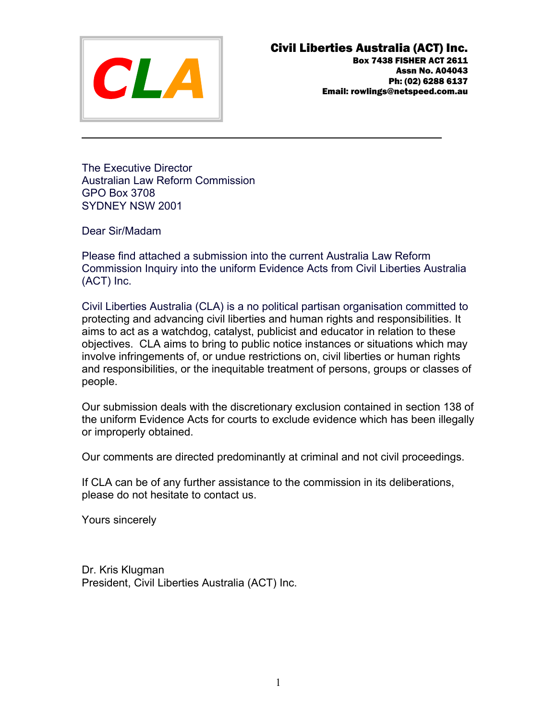

The Executive Director **Australian Law Reform Commission GPO Box 3708** SYDNEY NSW 2001

Dear Sir/Madam

Please find attached a submission into the current Australia Law Reform Commission Inquiry into the uniform Evidence Acts from Civil Liberties Australia (ACT) Inc.

Civil Liberties Australia (CLA) is a no political partisan organisation committed to protecting and advancing civil liberties and human rights and responsibilities. It aims to act as a watchdog, catalyst, publicist and educator in relation to these objectives. CLA aims to bring to public notice instances or situations which may involve infringements of, or undue restrictions on, civil liberties or human rights and responsibilities, or the inequitable treatment of persons, groups or classes of people.

Our submission deals with the discretionary exclusion contained in section 138 of the uniform Evidence Acts for courts to exclude evidence which has been illegally or improperly obtained.

Our comments are directed predominantly at criminal and not civil proceedings.

If CLA can be of any further assistance to the commission in its deliberations, please do not hesitate to contact us.

Yours sincerely

Dr. Kris Klugman President, Civil Liberties Australia (ACT) Inc.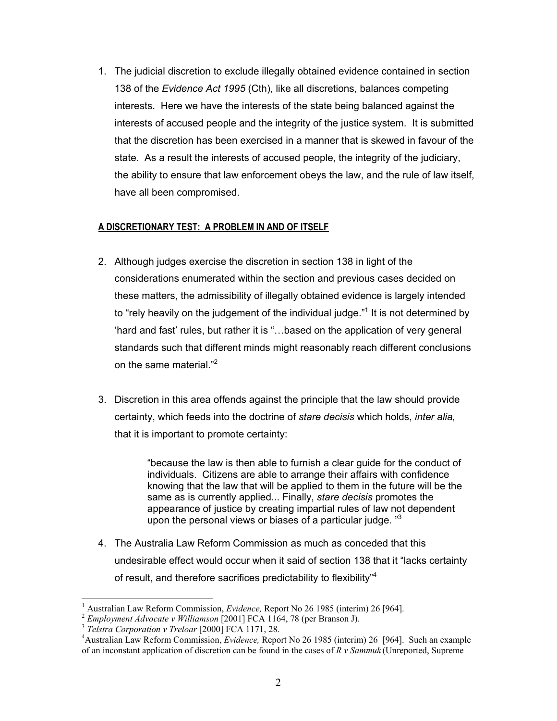1. The judicial discretion to exclude illegally obtained evidence contained in section 138 of the Evidence Act 1995 (Cth), like all discretions, balances competing interests. Here we have the interests of the state being balanced against the interests of accused people and the integrity of the justice system. It is submitted that the discretion has been exercised in a manner that is skewed in favour of the state. As a result the interests of accused people, the integrity of the judiciary, the ability to ensure that law enforcement obeys the law, and the rule of law itself, have all been compromised.

### A DISCRETIONARY TEST: A PROBLEM IN AND OF ITSELF

- 2. Although judges exercise the discretion in section 138 in light of the considerations enumerated within the section and previous cases decided on these matters, the admissibility of illegally obtained evidence is largely intended to "rely heavily on the judgement of the individual judge."<sup>1</sup> It is not determined by 'hard and fast' rules, but rather it is "...based on the application of very general standards such that different minds might reasonably reach different conclusions on the same material."<sup>2</sup>
- 3. Discretion in this area offends against the principle that the law should provide certainty, which feeds into the doctrine of stare decisis which holds, inter alia, that it is important to promote certainty:

"because the law is then able to furnish a clear guide for the conduct of individuals. Citizens are able to arrange their affairs with confidence knowing that the law that will be applied to them in the future will be the same as is currently applied... Finally, stare decisis promotes the appearance of justice by creating impartial rules of law not dependent upon the personal views or biases of a particular judge. "3

4. The Australia Law Reform Commission as much as conceded that this undesirable effect would occur when it said of section 138 that it "lacks certainty of result, and therefore sacrifices predictability to flexibility"<sup>4</sup>

<sup>&</sup>lt;sup>1</sup> Australian Law Reform Commission, *Evidence*, Report No 26 1985 (interim) 26 [964].

 $\overline{c}$ Employment Advocate v Williamson [2001] FCA 1164, 78 (per Branson J).

<sup>&</sup>lt;sup>3</sup> Telstra Corporation v Treloar [2000] FCA 1171, 28.

<sup>&</sup>lt;sup>4</sup>Australian Law Reform Commission, *Evidence*, Report No 26 1985 (interim) 26 [964]. Such an example of an inconstant application of discretion can be found in the cases of  $R v$  Sammuk (Unreported, Supreme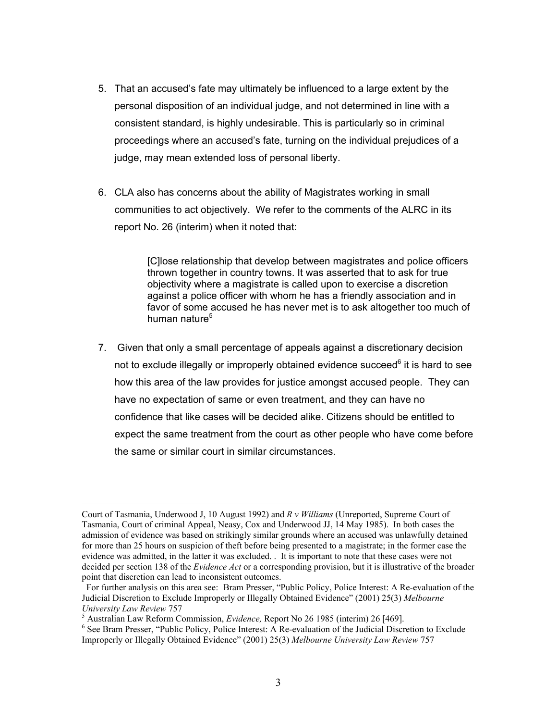- 5. That an accused's fate may ultimately be influenced to a large extent by the personal disposition of an individual judge, and not determined in line with a consistent standard, is highly undesirable. This is particularly so in criminal proceedings where an accused's fate, turning on the individual prejudices of a judge, may mean extended loss of personal liberty.
- 6. CLA also has concerns about the ability of Magistrates working in small communities to act objectively. We refer to the comments of the ALRC in its report No. 26 (interim) when it noted that:

[C] lose relationship that develop between magistrates and police officers thrown together in country towns. It was asserted that to ask for true objectivity where a magistrate is called upon to exercise a discretion against a police officer with whom he has a friendly association and in favor of some accused he has never met is to ask altogether too much of human nature<sup>5</sup>

7. Given that only a small percentage of appeals against a discretionary decision not to exclude illegally or improperly obtained evidence succeed<sup>6</sup> it is hard to see how this area of the law provides for justice amongst accused people. They can have no expectation of same or even treatment, and they can have no confidence that like cases will be decided alike. Citizens should be entitled to expect the same treatment from the court as other people who have come before the same or similar court in similar circumstances.

Court of Tasmania, Underwood J, 10 August 1992) and R v Williams (Unreported, Supreme Court of Tasmania, Court of criminal Appeal, Neasy, Cox and Underwood JJ, 14 May 1985). In both cases the admission of evidence was based on strikingly similar grounds where an accused was unlawfully detained for more than 25 hours on suspicion of theft before being presented to a magistrate; in the former case the evidence was admitted, in the latter it was excluded. It is important to note that these cases were not decided per section 138 of the *Evidence Act* or a corresponding provision, but it is illustrative of the broader point that discretion can lead to inconsistent outcomes.

For further analysis on this area see: Bram Presser, "Public Policy, Police Interest: A Re-evaluation of the Judicial Discretion to Exclude Improperly or Illegally Obtained Evidence" (2001) 25(3) Melbourne University Law Review 757

<sup>&</sup>lt;sup>5</sup> Australian Law Reform Commission, *Evidence*, Report No 26 1985 (interim) 26 [469].

 $6$  See Bram Presser, "Public Policy, Police Interest: A Re-evaluation of the Judicial Discretion to Exclude Improperly or Illegally Obtained Evidence" (2001) 25(3) Melbourne University Law Review 757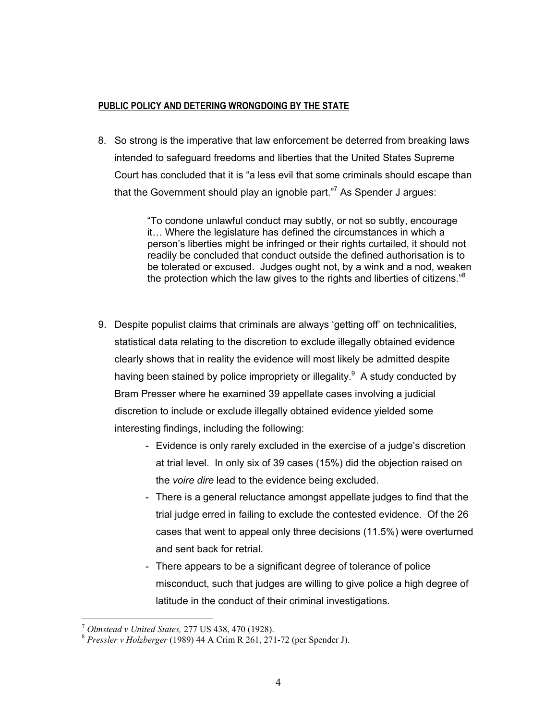## PUBLIC POLICY AND DETERING WRONGDOING BY THE STATE

8. So strong is the imperative that law enforcement be deterred from breaking laws intended to safeguard freedoms and liberties that the United States Supreme Court has concluded that it is "a less evil that some criminals should escape than that the Government should play an ignoble part."<sup>7</sup> As Spender J argues:

> "To condone unlawful conduct may subtly, or not so subtly, encourage it... Where the legislature has defined the circumstances in which a person's liberties might be infringed or their rights curtailed, it should not readily be concluded that conduct outside the defined authorisation is to be tolerated or excused. Judges ought not, by a wink and a nod, weaken the protection which the law gives to the rights and liberties of citizens."<sup>8</sup>

- 9. Despite populist claims that criminals are always 'getting off' on technicalities, statistical data relating to the discretion to exclude illegally obtained evidence clearly shows that in reality the evidence will most likely be admitted despite having been stained by police impropriety or illegality.<sup>9</sup> A study conducted by Bram Presser where he examined 39 appellate cases involving a judicial discretion to include or exclude illegally obtained evidence yielded some interesting findings, including the following:
	- Evidence is only rarely excluded in the exercise of a judge's discretion at trial level. In only six of 39 cases (15%) did the objection raised on the voire dire lead to the evidence being excluded.
	- There is a general reluctance amongst appellate judges to find that the trial judge erred in failing to exclude the contested evidence. Of the 26 cases that went to appeal only three decisions (11.5%) were overturned and sent back for retrial.
	- There appears to be a significant degree of tolerance of police misconduct, such that judges are willing to give police a high degree of latitude in the conduct of their criminal investigations.

<sup>&</sup>lt;sup>7</sup> Olmstead v United States, 277 US 438, 470 (1928).

 $8$  Pressler v Holzberger (1989) 44 A Crim R 261, 271-72 (per Spender J).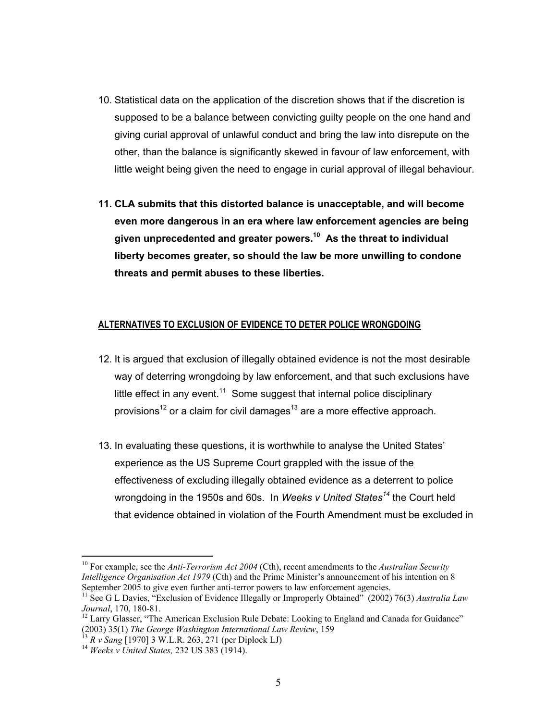- 10. Statistical data on the application of the discretion shows that if the discretion is supposed to be a balance between convicting quilty people on the one hand and giving curial approval of unlawful conduct and bring the law into disrepute on the other, than the balance is significantly skewed in favour of law enforcement, with little weight being given the need to engage in curial approval of illegal behaviour.
- 11. CLA submits that this distorted balance is unacceptable, and will become even more dangerous in an era where law enforcement agencies are being given unprecedented and greater powers.<sup>10</sup> As the threat to individual liberty becomes greater, so should the law be more unwilling to condone threats and permit abuses to these liberties.

#### ALTERNATIVES TO EXCLUSION OF EVIDENCE TO DETER POLICE WRONGDOING

- 12. It is argued that exclusion of illegally obtained evidence is not the most desirable way of deterring wrongdoing by law enforcement, and that such exclusions have little effect in any event.<sup>11</sup> Some suggest that internal police disciplinary provisions<sup>12</sup> or a claim for civil damages<sup>13</sup> are a more effective approach.
- 13. In evaluating these questions, it is worthwhile to analyse the United States' experience as the US Supreme Court grappled with the issue of the effectiveness of excluding illegally obtained evidence as a deterrent to police wrongdoing in the 1950s and 60s. In Weeks v United States<sup>14</sup> the Court held that evidence obtained in violation of the Fourth Amendment must be excluded in

<sup>&</sup>lt;sup>10</sup> For example, see the *Anti-Terrorism Act 2004* (Cth), recent amendments to the *Australian Security Intelligence Organisation Act 1979* (Cth) and the Prime Minister's announcement of his intention on 8 September 2005 to give even further anti-terror powers to law enforcement agencies.

<sup>&</sup>lt;sup>11</sup> See G L Davies, "Exclusion of Evidence Illegally or Improperly Obtained" (2002) 76(3) Australia Law Journal, 170, 180-81.<br><sup>12</sup> Larry Glasser, "The American Exclusion Rule Debate: Looking to England and Canada for Guidance"

<sup>(2003) 35(1)</sup> The George Washington International Law Review, 159

 $^{13}$  R v Sang [1970] 3 W.L.R. 263, 271 (per Diplock LJ)

 $14$  Weeks v United States, 232 US 383 (1914).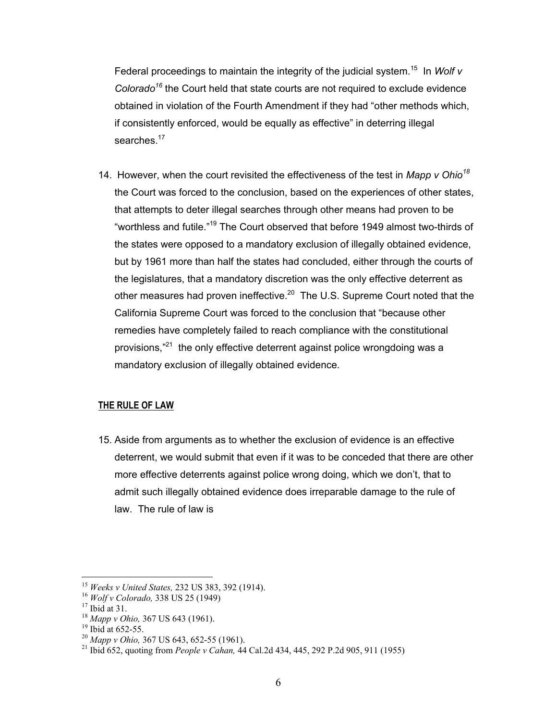Federal proceedings to maintain the integrity of the judicial system.<sup>15</sup> In Wolf v Colorado<sup>16</sup> the Court held that state courts are not required to exclude evidence obtained in violation of the Fourth Amendment if they had "other methods which, if consistently enforced, would be equally as effective" in deterring illegal searches.<sup>17</sup>

14. However, when the court revisited the effectiveness of the test in Mapp v Ohio<sup>18</sup> the Court was forced to the conclusion, based on the experiences of other states, that attempts to deter illegal searches through other means had proven to be "worthless and futile."<sup>19</sup> The Court observed that before 1949 almost two-thirds of the states were opposed to a mandatory exclusion of illegally obtained evidence, but by 1961 more than half the states had concluded, either through the courts of the legislatures, that a mandatory discretion was the only effective deterrent as other measures had proven ineffective.<sup>20</sup> The U.S. Supreme Court noted that the California Supreme Court was forced to the conclusion that "because other remedies have completely failed to reach compliance with the constitutional provisions,"<sup>21</sup> the only effective deterrent against police wrongdoing was a mandatory exclusion of illegally obtained evidence.

#### **THE RULE OF LAW**

15. Aside from arguments as to whether the exclusion of evidence is an effective deterrent, we would submit that even if it was to be conceded that there are other more effective deterrents against police wrong doing, which we don't, that to admit such illegally obtained evidence does irreparable damage to the rule of law. The rule of law is

<sup>&</sup>lt;sup>15</sup> Weeks v United States, 232 US 383, 392 (1914).

 $16$  Wolf v Colorado, 338 US 25 (1949)

 $17$  Ibid at 31.

<sup>&</sup>lt;sup>18</sup> Mapp v Ohio, 367 US 643 (1961).

 $^{19}$  Ibid at 652-55.

<sup>&</sup>lt;sup>20</sup> Mapp v Ohio, 367 US 643, 652-55 (1961).

<sup>&</sup>lt;sup>21</sup> Ibid 652, quoting from *People v Cahan*, 44 Cal.2d 434, 445, 292 P.2d 905, 911 (1955)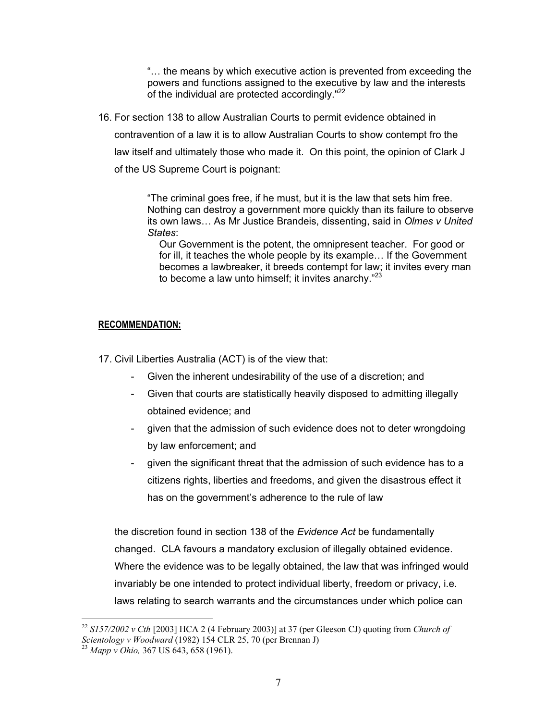"... the means by which executive action is prevented from exceeding the powers and functions assigned to the executive by law and the interests of the individual are protected accordinaly."<sup>22</sup>

16. For section 138 to allow Australian Courts to permit evidence obtained in

contravention of a law it is to allow Australian Courts to show contempt fro the

law itself and ultimately those who made it. On this point, the opinion of Clark J

of the US Supreme Court is poignant:

"The criminal goes free, if he must, but it is the law that sets him free. Nothing can destroy a government more quickly than its failure to observe its own laws... As Mr Justice Brandeis, dissenting, said in Olmes v United States:

Our Government is the potent, the omnipresent teacher. For good or for ill, it teaches the whole people by its example... If the Government becomes a lawbreaker, it breeds contempt for law; it invites every man to become a law unto himself; it invites anarchy."<sup>23</sup>

# **RECOMMENDATION:**

17. Civil Liberties Australia (ACT) is of the view that:

- Given the inherent undesirability of the use of a discretion; and
- Given that courts are statistically heavily disposed to admitting illegally obtained evidence; and
- given that the admission of such evidence does not to deter wrongdoing by law enforcement; and
- given the significant threat that the admission of such evidence has to a citizens rights, liberties and freedoms, and given the disastrous effect it has on the government's adherence to the rule of law

the discretion found in section 138 of the Evidence Act be fundamentally changed. CLA favours a mandatory exclusion of illegally obtained evidence. Where the evidence was to be legally obtained, the law that was infringed would invariably be one intended to protect individual liberty, freedom or privacy, i.e. laws relating to search warrants and the circumstances under which police can

<sup>&</sup>lt;sup>22</sup> S157/2002 v Cth [2003] HCA 2 (4 February 2003)] at 37 (per Gleeson CJ) quoting from Church of Scientology v Woodward (1982) 154 CLR 25, 70 (per Brennan J)<br><sup>23</sup> Mapp v Ohio, 367 US 643, 658 (1961).